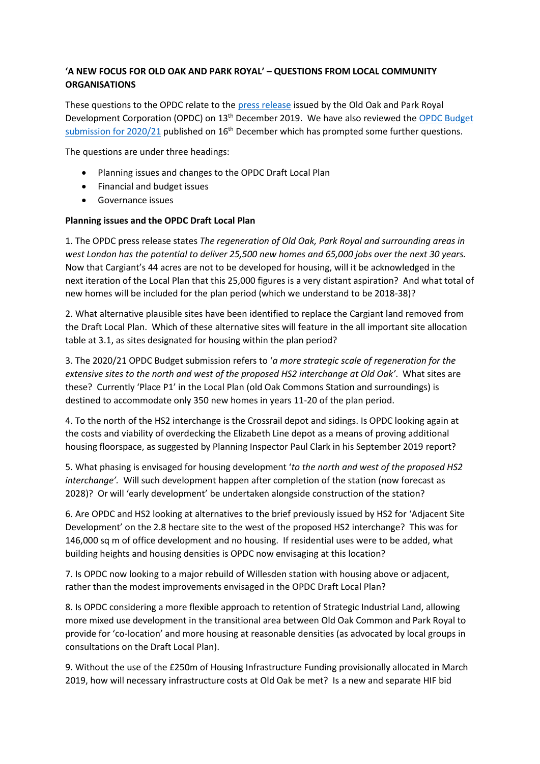# **'A NEW FOCUS FOR OLD OAK AND PARK ROYAL' – QUESTIONS FROM LOCAL COMMUNITY ORGANISATIONS**

These questions to the OPDC relate to the [press release](https://www.london.gov.uk/about-us/organisations-we-work/old-oak-and-park-royal-development-corporation-opdc/about-opdc/opdc-latest-press-releases#acc-i-59972) issued by the Old Oak and Park Royal Development Corporation (OPDC) on 13th December 2019. We have also reviewed the [OPDC Budget](https://www.london.gov.uk/sites/default/files/mayors_consultation_budget_2020-21_draft_-_opdc_submission_16.12.2019.pdf)  submission for  $2020/21$  published on  $16<sup>th</sup>$  December which has prompted some further questions.

The questions are under three headings:

- Planning issues and changes to the OPDC Draft Local Plan
- Financial and budget issues
- Governance issues

## **Planning issues and the OPDC Draft Local Plan**

1. The OPDC press release states *The regeneration of Old Oak, Park Royal and surrounding areas in west London has the potential to deliver 25,500 new homes and 65,000 jobs over the next 30 years.* Now that Cargiant's 44 acres are not to be developed for housing, will it be acknowledged in the next iteration of the Local Plan that this 25,000 figures is a very distant aspiration? And what total of new homes will be included for the plan period (which we understand to be 2018-38)?

2. What alternative plausible sites have been identified to replace the Cargiant land removed from the Draft Local Plan. Which of these alternative sites will feature in the all important site allocation table at 3.1, as sites designated for housing within the plan period?

3. The 2020/21 OPDC Budget submission refers to '*a more strategic scale of regeneration for the extensive sites to the north and west of the proposed HS2 interchange at Old Oak'*. What sites are these? Currently 'Place P1' in the Local Plan (old Oak Commons Station and surroundings) is destined to accommodate only 350 new homes in years 11-20 of the plan period.

4. To the north of the HS2 interchange is the Crossrail depot and sidings. Is OPDC looking again at the costs and viability of overdecking the Elizabeth Line depot as a means of proving additional housing floorspace, as suggested by Planning Inspector Paul Clark in his September 2019 report?

5. What phasing is envisaged for housing development '*to the north and west of the proposed HS2 interchange'.* Will such development happen after completion of the station (now forecast as 2028)? Or will 'early development' be undertaken alongside construction of the station?

6. Are OPDC and HS2 looking at alternatives to the brief previously issued by HS2 for 'Adjacent Site Development' on the 2.8 hectare site to the west of the proposed HS2 interchange? This was for 146,000 sq m of office development and no housing. If residential uses were to be added, what building heights and housing densities is OPDC now envisaging at this location?

7. Is OPDC now looking to a major rebuild of Willesden station with housing above or adjacent, rather than the modest improvements envisaged in the OPDC Draft Local Plan?

8. Is OPDC considering a more flexible approach to retention of Strategic Industrial Land, allowing more mixed use development in the transitional area between Old Oak Common and Park Royal to provide for 'co-location' and more housing at reasonable densities (as advocated by local groups in consultations on the Draft Local Plan).

9. Without the use of the £250m of Housing Infrastructure Funding provisionally allocated in March 2019, how will necessary infrastructure costs at Old Oak be met? Is a new and separate HIF bid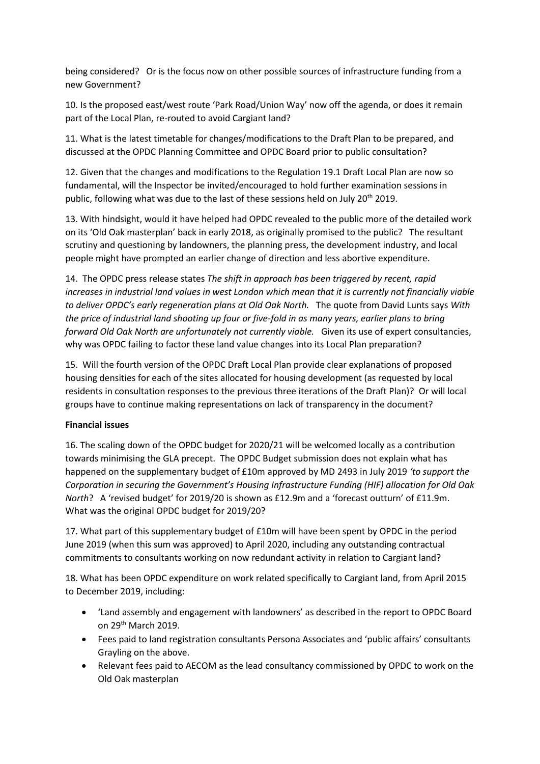being considered? Or is the focus now on other possible sources of infrastructure funding from a new Government?

10. Is the proposed east/west route 'Park Road/Union Way' now off the agenda, or does it remain part of the Local Plan, re-routed to avoid Cargiant land?

11. What is the latest timetable for changes/modifications to the Draft Plan to be prepared, and discussed at the OPDC Planning Committee and OPDC Board prior to public consultation?

12. Given that the changes and modifications to the Regulation 19.1 Draft Local Plan are now so fundamental, will the Inspector be invited/encouraged to hold further examination sessions in public, following what was due to the last of these sessions held on July 20<sup>th</sup> 2019.

13. With hindsight, would it have helped had OPDC revealed to the public more of the detailed work on its 'Old Oak masterplan' back in early 2018, as originally promised to the public? The resultant scrutiny and questioning by landowners, the planning press, the development industry, and local people might have prompted an earlier change of direction and less abortive expenditure.

14. The OPDC press release states *The shift in approach has been triggered by recent, rapid increases in industrial land values in west London which mean that it is currently not financially viable to deliver OPDC's early regeneration plans at Old Oak North.* The quote from David Lunts says *With the price of industrial land shooting up four or five-fold in as many years, earlier plans to bring forward Old Oak North are unfortunately not currently viable.* Given its use of expert consultancies, why was OPDC failing to factor these land value changes into its Local Plan preparation?

15. Will the fourth version of the OPDC Draft Local Plan provide clear explanations of proposed housing densities for each of the sites allocated for housing development (as requested by local residents in consultation responses to the previous three iterations of the Draft Plan)? Or will local groups have to continue making representations on lack of transparency in the document?

## **Financial issues**

16. The scaling down of the OPDC budget for 2020/21 will be welcomed locally as a contribution towards minimising the GLA precept. The OPDC Budget submission does not explain what has happened on the supplementary budget of £10m approved by MD 2493 in July 2019 *'to support the Corporation in securing the Government's Housing Infrastructure Funding (HIF) allocation for Old Oak North*? A 'revised budget' for 2019/20 is shown as £12.9m and a 'forecast outturn' of £11.9m. What was the original OPDC budget for 2019/20?

17. What part of this supplementary budget of £10m will have been spent by OPDC in the period June 2019 (when this sum was approved) to April 2020, including any outstanding contractual commitments to consultants working on now redundant activity in relation to Cargiant land?

18. What has been OPDC expenditure on work related specifically to Cargiant land, from April 2015 to December 2019, including:

- 'Land assembly and engagement with landowners' as described in the report to OPDC Board on 29<sup>th</sup> March 2019.
- Fees paid to land registration consultants Persona Associates and 'public affairs' consultants Grayling on the above.
- Relevant fees paid to AECOM as the lead consultancy commissioned by OPDC to work on the Old Oak masterplan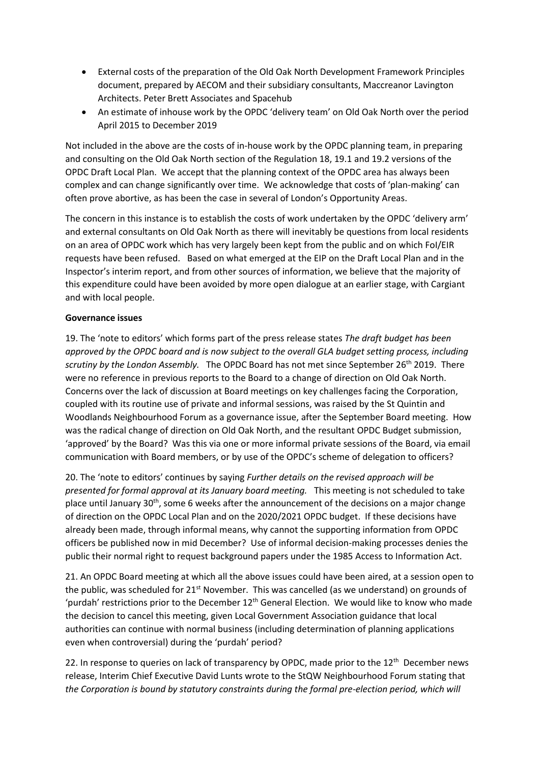- External costs of the preparation of the Old Oak North Development Framework Principles document, prepared by AECOM and their subsidiary consultants, Maccreanor Lavington Architects. Peter Brett Associates and Spacehub
- An estimate of inhouse work by the OPDC 'delivery team' on Old Oak North over the period April 2015 to December 2019

Not included in the above are the costs of in-house work by the OPDC planning team, in preparing and consulting on the Old Oak North section of the Regulation 18, 19.1 and 19.2 versions of the OPDC Draft Local Plan. We accept that the planning context of the OPDC area has always been complex and can change significantly over time. We acknowledge that costs of 'plan-making' can often prove abortive, as has been the case in several of London's Opportunity Areas.

The concern in this instance is to establish the costs of work undertaken by the OPDC 'delivery arm' and external consultants on Old Oak North as there will inevitably be questions from local residents on an area of OPDC work which has very largely been kept from the public and on which FoI/EIR requests have been refused. Based on what emerged at the EIP on the Draft Local Plan and in the Inspector's interim report, and from other sources of information, we believe that the majority of this expenditure could have been avoided by more open dialogue at an earlier stage, with Cargiant and with local people.

## **Governance issues**

19. The 'note to editors' which forms part of the press release states *The draft budget has been approved by the OPDC board and is now subject to the overall GLA budget setting process, including scrutiny by the London Assembly.* The OPDC Board has not met since September 26th 2019. There were no reference in previous reports to the Board to a change of direction on Old Oak North. Concerns over the lack of discussion at Board meetings on key challenges facing the Corporation, coupled with its routine use of private and informal sessions, was raised by the St Quintin and Woodlands Neighbourhood Forum as a governance issue, after the September Board meeting. How was the radical change of direction on Old Oak North, and the resultant OPDC Budget submission, 'approved' by the Board? Was this via one or more informal private sessions of the Board, via email communication with Board members, or by use of the OPDC's scheme of delegation to officers?

20. The 'note to editors' continues by saying *Further details on the revised approach will be presented for formal approval at its January board meeting.* This meeting is not scheduled to take place until January  $30<sup>th</sup>$ , some 6 weeks after the announcement of the decisions on a major change of direction on the OPDC Local Plan and on the 2020/2021 OPDC budget. If these decisions have already been made, through informal means, why cannot the supporting information from OPDC officers be published now in mid December? Use of informal decision-making processes denies the public their normal right to request background papers under the 1985 Access to Information Act.

21. An OPDC Board meeting at which all the above issues could have been aired, at a session open to the public, was scheduled for 21<sup>st</sup> November. This was cancelled (as we understand) on grounds of 'purdah' restrictions prior to the December 12<sup>th</sup> General Election. We would like to know who made the decision to cancel this meeting, given Local Government Association guidance that local authorities can continue with normal business (including determination of planning applications even when controversial) during the 'purdah' period?

22. In response to queries on lack of transparency by OPDC, made prior to the  $12<sup>th</sup>$  December news release, Interim Chief Executive David Lunts wrote to the StQW Neighbourhood Forum stating that *the Corporation is bound by statutory constraints during the formal pre-election period, which will*